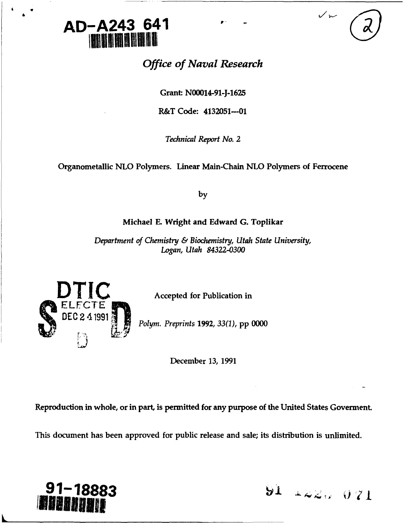

# *Office of Naval Research*

Grant: **N00014-91-J-1625**

R&T Code: 4132051---01

*Technical Report No. 2*

Organometallic **NLO** Polymers. Linear Main-Chain **NLO** Polymers of Ferrocene

**by**

## Michael **E.** Wright and Edward **G.** Toplikar

*Department of Chemistry & Biochemistry, Utah State University, Logan, Utah 84322-0300*



**Accepted for Publication in** 

**DEC 2 1991~** *Polym. Preprints* **1992,** *33(1),* **pp 0000**

December 13, 1991

Reproduction in whole, or in part, is permitted for any purpose of the United States Goverment.

This document has been approved for public release and sale; its distribution is unlimited.



**91-18883 91 +22. 071**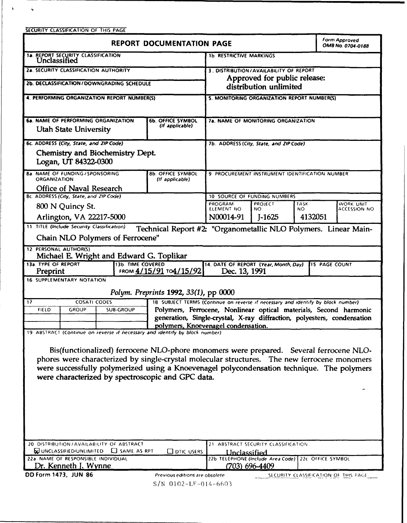SECURITY **CLASSIFICATION** OF **THIS PAGE**

 $\mathbf{A}^{\dagger}$ 

 $\sim 10$ 

| <b>REPORT DOCUMENTATION PAGE</b>                                                                                                                                                                                                                                                                                                          |                                                                                                                                              |                                                                        |                                                                                  | <b>Form Approved</b><br>OMB No. 0704-0188 |              |  |
|-------------------------------------------------------------------------------------------------------------------------------------------------------------------------------------------------------------------------------------------------------------------------------------------------------------------------------------------|----------------------------------------------------------------------------------------------------------------------------------------------|------------------------------------------------------------------------|----------------------------------------------------------------------------------|-------------------------------------------|--------------|--|
| 18. REPORT SECURITY CLASSIFICATION Unclassified                                                                                                                                                                                                                                                                                           |                                                                                                                                              | <b>1b. RESTRICTIVE MARKINGS</b>                                        |                                                                                  |                                           |              |  |
| <b>2a. SECURITY CLASSIFICATION AUTHORITY</b>                                                                                                                                                                                                                                                                                              |                                                                                                                                              | 3. DISTRIBUTION/AVAILABILITY OF REPORT<br>Approved for public release: |                                                                                  |                                           |              |  |
| 2b. DECLASSIFICATION/DOWNGRADING SCHEDULE                                                                                                                                                                                                                                                                                                 |                                                                                                                                              | distribution unlimited                                                 |                                                                                  |                                           |              |  |
| 4. PERFORMING ORGANIZATION REPORT NUMBER(S)                                                                                                                                                                                                                                                                                               |                                                                                                                                              | 5. MONITORING ORGANIZATION REPORT NUMBER(S)                            |                                                                                  |                                           |              |  |
| <b>6a. NAME OF PERFORMING ORGANIZATION</b><br><b>Utah State University</b>                                                                                                                                                                                                                                                                | <b>6b. OFFICE SYMBOL</b><br>(If applicable)                                                                                                  | <b>7a. NAME OF MONITORING ORGANIZATION</b>                             |                                                                                  |                                           |              |  |
| 6c. ADDRESS (City, State, and ZIP Code)                                                                                                                                                                                                                                                                                                   |                                                                                                                                              | 7b. ADDRESS (City, State, and ZIP Code)                                |                                                                                  |                                           |              |  |
| Chemistry and Biochemistry Dept.<br>Logan, UT 84322-0300                                                                                                                                                                                                                                                                                  |                                                                                                                                              |                                                                        |                                                                                  |                                           |              |  |
| <b>Ba. NAME OF FUNDING / SPONSORING</b><br><b>ORGANIZATION</b>                                                                                                                                                                                                                                                                            | 8b. OFFICE SYMBOL<br>(If applicable)                                                                                                         | 9 PROCUREMENT INSTRUMENT IDENTIFICATION NUMBER                         |                                                                                  |                                           |              |  |
| <b>Office of Naval Research</b><br><b>8c. ADDRESS (City, State, and ZIP Code)</b>                                                                                                                                                                                                                                                         |                                                                                                                                              | 10 SOURCE OF FUNDING NUMBERS                                           |                                                                                  |                                           |              |  |
| 800 N Quincy St.                                                                                                                                                                                                                                                                                                                          |                                                                                                                                              | PROGRAM<br>PROJECT<br><b>TASK</b><br>WORK UNIT                         |                                                                                  |                                           |              |  |
| Arlington, VA 22217-5000                                                                                                                                                                                                                                                                                                                  |                                                                                                                                              | ELEMENT NO<br>N00014-91                                                | NO.<br>$J-1625$                                                                  | NO.<br>4132051                            | ACCESSION NO |  |
| 11. TITLE (Include Security Classification)<br>Technical Report #2: "Organometallic NLO Polymers. Linear Main-                                                                                                                                                                                                                            |                                                                                                                                              |                                                                        |                                                                                  |                                           |              |  |
| Chain NLO Polymers of Ferrocene"                                                                                                                                                                                                                                                                                                          |                                                                                                                                              |                                                                        |                                                                                  |                                           |              |  |
| 12. PERSONAL AUTHOR(S)<br>Michael E. Wright and Edward G. Toplikar                                                                                                                                                                                                                                                                        |                                                                                                                                              |                                                                        |                                                                                  |                                           |              |  |
| 13a. TYPE OF REPORT<br>Preprint                                                                                                                                                                                                                                                                                                           | 13b. TIME COVERED<br>14. DATE OF REPORT (Year, Month, Day)<br><b>IS PAGE COUNT</b><br>FROM 4/15/91 TO4/15/92<br>Dec. 13, 1991                |                                                                        |                                                                                  |                                           |              |  |
| 16 SUPPLEMENTARY NOTATION                                                                                                                                                                                                                                                                                                                 |                                                                                                                                              |                                                                        |                                                                                  |                                           |              |  |
| Polym. Preprints 1992, 33(1), pp 0000                                                                                                                                                                                                                                                                                                     |                                                                                                                                              |                                                                        |                                                                                  |                                           |              |  |
| <b>COSATI CODES</b><br>17                                                                                                                                                                                                                                                                                                                 |                                                                                                                                              |                                                                        | 18 SUBJECT TERMS (Continue on reverse if necessary and identify by block number) |                                           |              |  |
| <b>SUB-GROUP</b><br><b>FIELD</b><br>GROUP                                                                                                                                                                                                                                                                                                 | Polymers, Ferrocene, Nonlinear optical materials, Second harmonic<br>generation, Single-crystal, X-ray diffraction, polyesters, condensation |                                                                        |                                                                                  |                                           |              |  |
|                                                                                                                                                                                                                                                                                                                                           |                                                                                                                                              | polymers, Knoevenagel condensation.                                    |                                                                                  |                                           |              |  |
| 19. ABSTRACT (Continue on reverse if necessary and identify by block number)                                                                                                                                                                                                                                                              |                                                                                                                                              |                                                                        |                                                                                  |                                           |              |  |
| Bis(functionalized) ferrocene NLO-phore monomers were prepared. Several ferrocene NLO-<br>phores were characterized by single-crystal molecular structures. The new ferrocene monomers<br>were successfully polymerized using a Knoevenagel polycondensation technique. The polymers<br>were characterized by spectroscopic and GPC data. |                                                                                                                                              |                                                                        |                                                                                  |                                           |              |  |
|                                                                                                                                                                                                                                                                                                                                           |                                                                                                                                              |                                                                        |                                                                                  |                                           |              |  |
| 20 DISTRIBUTION / AVAILABILITY OF ABSTRACT<br>WUNCLASSIFIED/UNLIMITED <b>CO</b> SAME AS RPT                                                                                                                                                                                                                                               | Unclassified                                                                                                                                 | 21 ABSTRACT SECURITY CLASSIFICATION                                    |                                                                                  |                                           |              |  |
| 22a NAME OF RESPONSIBLE INDIVIDUAL                                                                                                                                                                                                                                                                                                        | 22b TELEPHONE (Include Area Code) 22c OFFICE SYMBOL                                                                                          |                                                                        |                                                                                  |                                           |              |  |
| Dr. Kenneth J. Wynne<br>$(703)$ 696-4409                                                                                                                                                                                                                                                                                                  |                                                                                                                                              |                                                                        |                                                                                  |                                           |              |  |
| DD Form 1473, JUN 86<br>SECURITY CLASSIFICATION OF THIS PAGE<br>Previous editions are obsolete                                                                                                                                                                                                                                            |                                                                                                                                              |                                                                        |                                                                                  |                                           |              |  |

S/N 0102-LF-014-6603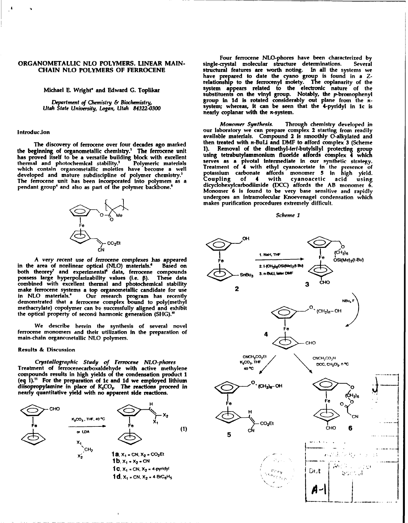the beginning of organometallic chemistry.<sup>1</sup> The ferrocene unit all. **Removal of the dimethyl-terf-butylsilyl** protecting group<br>has proved itself to be a versatile building block with excellent using tetrabutylammonium fl has proved itself to be a versatile building block with excellent thermal and photochemical stability.<sup>2</sup> Polymeric materials which contain organometallic moieties have become a well thermal and photochemical stability.<sup>2</sup> Dolymeric materials serves as a pivotal intermediate in our synthetic strategy<br>which contain organometallic moleties have become a well **interpretent of 4 with ethyl cyanoacetate in** developed and mature subdiscipline of polymer chemistry.3 potassium carbonate affords monomer **5** in high yield. developed and mature subdiscipline of polymer chemistry.<sup>3</sup> potassium carbonate affords monomer 5 in high yield.<br>The ferrocene unit has been incorporated into polymers as a Coupling of 4 with cyanoacetic acid using<br>pendant



A very recent use of ferrocene complexes has appeared area of nonlinear optical (NLO) materials.<sup>6</sup> Based on in the area of nonlinear optical (NLO) materials.<sup>6</sup> both theorey' and experimental<sup>s</sup> data, ferrocene compounds  $\overline{\text{C}}$ <sub>SnBu2</sub> 3. n-BuLI, later DMF combined with excellent thermal and photochemical stability **3** CHO make ferrocene systems a top organometallic candidate for use **2** in **NLO** materials.' Our research program has recently demonstrated that a ferrocene complex bound to poly(methyl **NSU4** F methacrylate) copolymer can be successfully aligned and exhibit  $\mathbf{p}_0 = \mathbf{p}_1 + \mathbf{p}_2$  (CH<sub>2</sub>)<sub>6</sub>- OH

We describe herein the synthesis of several novel<br>ferrocene monomers and their utilization in the preparation of

Crystallographic Study of Ferrocene NLO-phores<br>Treatment of ferrocenecarboxaldehyde with active methylene 40℃ compounds results in high yields of the condensation product 1



Four ferrocene NLO-phores have been characterized **by ORGANOMETALLIC NLO** POLYMERS. LINEAR **MAIN-** single-crystal molecular structure determinations. Several **CHAIN NLO POLYMERS OF FERROCENE** structural features are worth noting. In all the systems we have prepared to date the cyano group is found in a Zrelationship **to** the ferrocenyl moiety. The coplanarity of the Michael **E.** Wright\* and Edward **G.** Toplikar system appears related to the electronic nature of the substituents on the vinyl group. Notably, the p-bromophenyl *Deprtment of Chemistry & Biochemistry,* **group** n **id is** rotated considerably out plane from the **x-***Department of Chemistry & Biochemistry,* **b 10 10 system; whereas, it can be seen that the 4-pyridyl in 1c is** *Utah State University, Logan, Utah 84322-0300* **<b>system; whereas, it can be seen that the 4-pyridyl in 1c nearly** coplanar with the x-system.

Monomer *Synthesis.* Through chemistry developed in Introducion **Introducion** our laboratory we can prepare complex 2 starting from readily available materials. Compound 2 is smoothly 0-alkylated and The discovery of ferrocene over four decades ago marked then treated with *n*-BuLi and DMF to afford complex 3 (Scheme<br>climates of organometallic chamietry<sup>1</sup> The ferrocene unit 1). Removal of the dimethyl-tert-butylsilyl endant group<sup>4</sup> and also as part of the polymer backbone.<sup>5</sup> dicyclohexylcarbodiimide (DCC) affords the AB monomer **6**<br>Monomer **6** is found to be very base sensitive and rapidly undergoes an intramolecular Knoevenagel condensation **which** makes purification procedures extremely difficult.

### *-- O <Scheme 1*